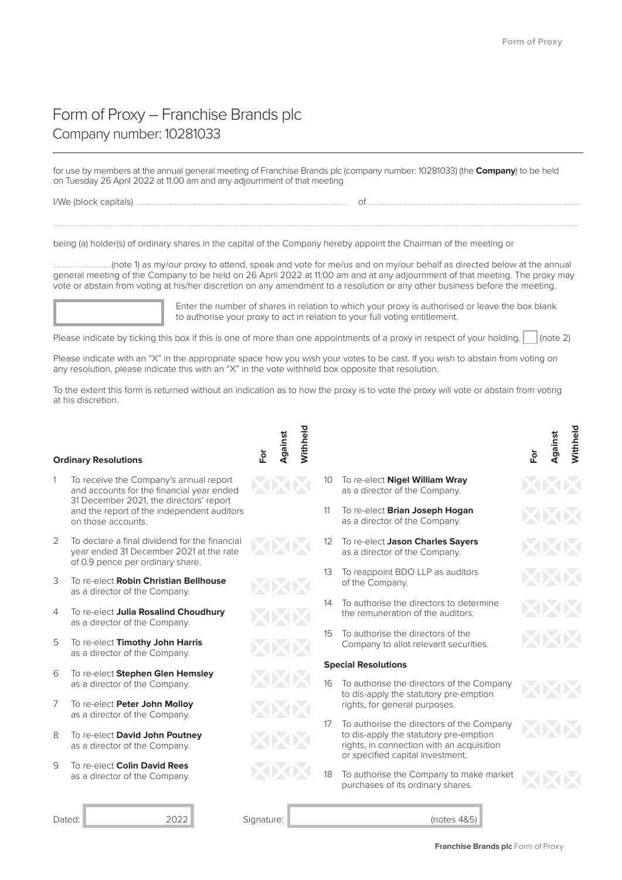## Form of Proxy – Franchise Brands plc Company number: 10281033

for use by members at the annual general meeting of Franchise Brands plc (company number: 10281033) (the **Company**) to be held on Tuesday 26 April 2022 at 11:00 am and any adjournment of that meeting I/We (block capitals) ......................................................................................................................................................................................... of ...........................................................................................................................................................................................

............................................................................................................................................................................................................................................................................................................................................................................................................................................................................

being (a) holder(s) of ordinary shares in the capital of the Company hereby appoint the Chairman of the meeting or

...................................................(note 1) as my/our proxy to attend, speak and vote for me/us and on my/our behalf as directed below at the annual general meeting of the Company to be held on 26 April 2022 at 11:00 am and at any adjournment of that meeting. The proxy may vote or abstain from voting at his/her discretion on any amendment to a resolution or any other business before the meeting.



Enter the number of shares in relation to which your proxy is authorised or leave the box blank to authorise your proxy to act in relation to your full yoting entitlement.

Please indicate with an "X" in the appropriate space how you wish your votes to be cast. If you wish to abstain from voting on any resolution, please indicate this with an "X" in the vote withheld box opposite that resolution.

To the extent this form is returned without an indication as to how the proxy is to vote the proxy will vote or abstain from voting at his discretion

## **Ordinary Resolutions**

- 1 To receive the Company's annual report and accounts for the financial year ended 31 December 2021, the directors' report and the report of the independent auditors on those accounts.
- 2 To declare a final dividend for the financial year ended 31 December 2021 at the rate of 0.9 pence per ordinary share.
- 3 To re-elect **Robin Christian Bellhouse** as a director of the Company.
- 4 To re-elect Julia Rosalind Choudhury as a director of the Company.
- 5 To re-elect Timothy John Harris as a director of the Company.
- 6 To re-elect **Stephen Glen Hemsley** as a director of the Company.
- 7 To re-elect Peter John Molloy as a director of the Company.
- 8 To re-elect David John Poutney as a director of the Company.
- 9 To re-elect **Colin David Rees** as a director of the Company.

Dated: 2022 Signature: (notes 4&5)

**For Against**

- 
- 
- 10 To re-elect **Nigel William Wray** as a director of the Company.
- 11 To re-elect **Brian Joseph Hogan** as a director of the Company.
- 12 To re-elect Jason Charles Sayers as a director of the Company.
- 13 To reappoint BDO LLP as auditors of the Company.
- 14 To authorise the directors to determine the remuneration of the auditors.
- 15 To authorise the directors of the Company to allot relevant securities.

## **Special Resolutions**

- 16 To authorise the directors of the Company to dis-apply the statutory pre-emption rights, for general purposes.
- 17 To authorise the directors of the Company to dis-apply the statutory pre-emption rights, in connection with an acquisition or specified capital investment.
- 18 To authorise the Company to make market purchases of its ordinary shares.

**For**

**Against Withheld**

Vithheld